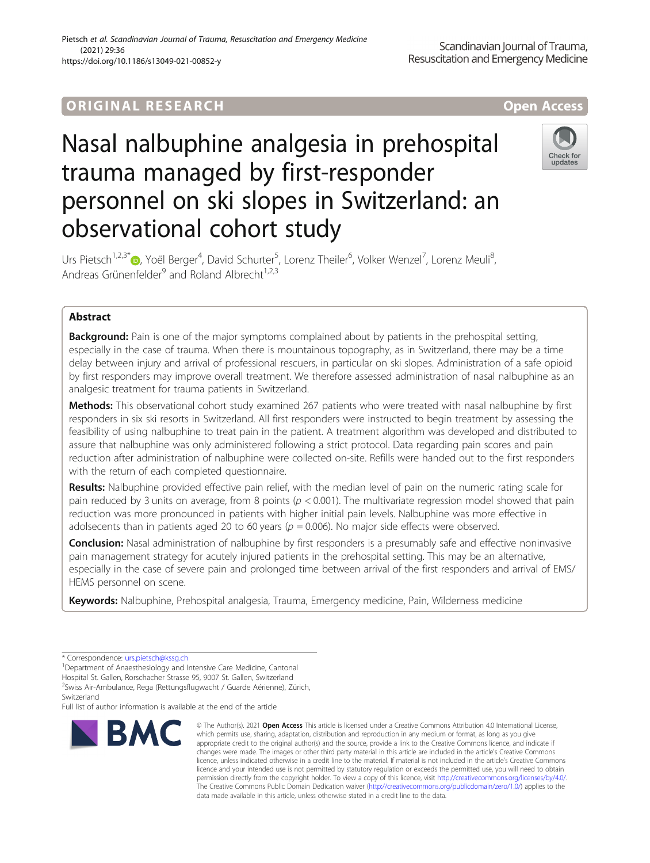## **ORIGINAL RESEARCH And Access** open Access

# Nasal nalbuphine analgesia in prehospital trauma managed by first-responder personnel on ski slopes in Switzerland: an observational cohort study



Urs Pietsch<sup>1,2,3\*</sup>®, Yoël Berger<sup>4</sup>, David Schurter<sup>5</sup>, Lorenz Theiler<sup>6</sup>, Volker Wenzel<sup>7</sup>, Lorenz Meuli<sup>8</sup> , Andreas Grünenfelder<sup>9</sup> and Roland Albrecht<sup>1,2,3</sup>

## Abstract

**Background:** Pain is one of the major symptoms complained about by patients in the prehospital setting, especially in the case of trauma. When there is mountainous topography, as in Switzerland, there may be a time delay between injury and arrival of professional rescuers, in particular on ski slopes. Administration of a safe opioid by first responders may improve overall treatment. We therefore assessed administration of nasal nalbuphine as an analgesic treatment for trauma patients in Switzerland.

Methods: This observational cohort study examined 267 patients who were treated with nasal nalbuphine by first responders in six ski resorts in Switzerland. All first responders were instructed to begin treatment by assessing the feasibility of using nalbuphine to treat pain in the patient. A treatment algorithm was developed and distributed to assure that nalbuphine was only administered following a strict protocol. Data regarding pain scores and pain reduction after administration of nalbuphine were collected on-site. Refills were handed out to the first responders with the return of each completed questionnaire.

Results: Nalbuphine provided effective pain relief, with the median level of pain on the numeric rating scale for pain reduced by 3 units on average, from 8 points ( $p < 0.001$ ). The multivariate regression model showed that pain reduction was more pronounced in patients with higher initial pain levels. Nalbuphine was more effective in adolsecents than in patients aged 20 to 60 years ( $p = 0.006$ ). No major side effects were observed.

**Conclusion:** Nasal administration of nalbuphine by first responders is a presumably safe and effective noninvasive pain management strategy for acutely injured patients in the prehospital setting. This may be an alternative, especially in the case of severe pain and prolonged time between arrival of the first responders and arrival of EMS/ HEMS personnel on scene.

Keywords: Nalbuphine, Prehospital analgesia, Trauma, Emergency medicine, Pain, Wilderness medicine

<sup>1</sup>Department of Anaesthesiology and Intensive Care Medicine, Cantonal

Full list of author information is available at the end of the article



<sup>©</sup> The Author(s), 2021 **Open Access** This article is licensed under a Creative Commons Attribution 4.0 International License, which permits use, sharing, adaptation, distribution and reproduction in any medium or format, as long as you give appropriate credit to the original author(s) and the source, provide a link to the Creative Commons licence, and indicate if changes were made. The images or other third party material in this article are included in the article's Creative Commons licence, unless indicated otherwise in a credit line to the material. If material is not included in the article's Creative Commons licence and your intended use is not permitted by statutory regulation or exceeds the permitted use, you will need to obtain permission directly from the copyright holder. To view a copy of this licence, visit [http://creativecommons.org/licenses/by/4.0/.](http://creativecommons.org/licenses/by/4.0/) The Creative Commons Public Domain Dedication waiver [\(http://creativecommons.org/publicdomain/zero/1.0/](http://creativecommons.org/publicdomain/zero/1.0/)) applies to the data made available in this article, unless otherwise stated in a credit line to the data.

<sup>\*</sup> Correspondence: [urs.pietsch@kssg.ch](mailto:urs.pietsch@kssg.ch) <sup>1</sup>

Hospital St. Gallen, Rorschacher Strasse 95, 9007 St. Gallen, Switzerland <sup>2</sup>Swiss Air-Ambulance, Rega (Rettungsflugwacht / Guarde Aérienne), Zürich,

Switzerland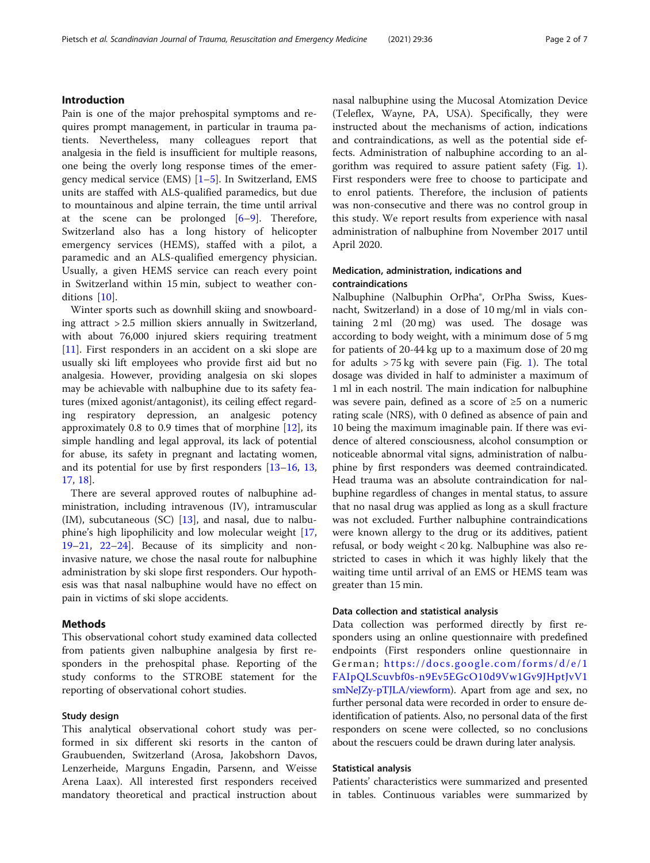## Introduction

Pain is one of the major prehospital symptoms and requires prompt management, in particular in trauma patients. Nevertheless, many colleagues report that analgesia in the field is insufficient for multiple reasons, one being the overly long response times of the emergency medical service (EMS) [[1](#page-6-0)–[5](#page-6-0)]. In Switzerland, EMS units are staffed with ALS-qualified paramedics, but due to mountainous and alpine terrain, the time until arrival at the scene can be prolonged [\[6](#page-6-0)–[9](#page-6-0)]. Therefore, Switzerland also has a long history of helicopter emergency services (HEMS), staffed with a pilot, a paramedic and an ALS-qualified emergency physician. Usually, a given HEMS service can reach every point in Switzerland within 15 min, subject to weather conditions [\[10](#page-6-0)].

Winter sports such as downhill skiing and snowboarding attract > 2.5 million skiers annually in Switzerland, with about 76,000 injured skiers requiring treatment [[11\]](#page-6-0). First responders in an accident on a ski slope are usually ski lift employees who provide first aid but no analgesia. However, providing analgesia on ski slopes may be achievable with nalbuphine due to its safety features (mixed agonist/antagonist), its ceiling effect regarding respiratory depression, an analgesic potency approximately 0.8 to 0.9 times that of morphine  $[12]$  $[12]$  $[12]$ , its simple handling and legal approval, its lack of potential for abuse, its safety in pregnant and lactating women, and its potential for use by first responders [[13](#page-6-0)–[16,](#page-6-0) [13](#page-6-0), [17,](#page-6-0) [18](#page-6-0)].

There are several approved routes of nalbuphine administration, including intravenous (IV), intramuscular  $(IM)$ , subcutaneous  $(SC)$   $[13]$  $[13]$ , and nasal, due to nalbuphine's high lipophilicity and low molecular weight [[17](#page-6-0), [19](#page-6-0)–[21](#page-6-0), [22](#page-6-0)–[24](#page-6-0)]. Because of its simplicity and noninvasive nature, we chose the nasal route for nalbuphine administration by ski slope first responders. Our hypothesis was that nasal nalbuphine would have no effect on pain in victims of ski slope accidents.

#### Methods

This observational cohort study examined data collected from patients given nalbuphine analgesia by first responders in the prehospital phase. Reporting of the study conforms to the STROBE statement for the reporting of observational cohort studies.

### Study design

This analytical observational cohort study was performed in six different ski resorts in the canton of Graubuenden, Switzerland (Arosa, Jakobshorn Davos, Lenzerheide, Marguns Engadin, Parsenn, and Weisse Arena Laax). All interested first responders received mandatory theoretical and practical instruction about

nasal nalbuphine using the Mucosal Atomization Device (Teleflex, Wayne, PA, USA). Specifically, they were instructed about the mechanisms of action, indications and contraindications, as well as the potential side effects. Administration of nalbuphine according to an algorithm was required to assure patient safety (Fig. [1](#page-2-0)). First responders were free to choose to participate and to enrol patients. Therefore, the inclusion of patients was non-consecutive and there was no control group in this study. We report results from experience with nasal administration of nalbuphine from November 2017 until April 2020.

## Medication, administration, indications and contraindications

Nalbuphine (Nalbuphin OrPha®, OrPha Swiss, Kuesnacht, Switzerland) in a dose of 10 mg/ml in vials containing 2 ml (20 mg) was used. The dosage was according to body weight, with a minimum dose of 5 mg for patients of 20-44 kg up to a maximum dose of 20 mg for adults  $> 75$  kg with severe pain (Fig. [1](#page-2-0)). The total dosage was divided in half to administer a maximum of 1 ml in each nostril. The main indication for nalbuphine was severe pain, defined as a score of ≥5 on a numeric rating scale (NRS), with 0 defined as absence of pain and 10 being the maximum imaginable pain. If there was evidence of altered consciousness, alcohol consumption or noticeable abnormal vital signs, administration of nalbuphine by first responders was deemed contraindicated. Head trauma was an absolute contraindication for nalbuphine regardless of changes in mental status, to assure that no nasal drug was applied as long as a skull fracture was not excluded. Further nalbuphine contraindications were known allergy to the drug or its additives, patient refusal, or body weight < 20 kg. Nalbuphine was also restricted to cases in which it was highly likely that the waiting time until arrival of an EMS or HEMS team was greater than 15 min.

#### Data collection and statistical analysis

Data collection was performed directly by first responders using an online questionnaire with predefined endpoints (First responders online questionnaire in German; [https://docs.google.com/forms/d/e/1](https://docs.google.com/forms/d/e/1FAIpQLScuvbf0s-n9Ev5EGcO10d9Vw1Gv9JHptJvV1smNeJZy-pTJLA/viewform) [FAIpQLScuvbf0s-n9Ev5EGcO10d9Vw1Gv9JHptJvV1](https://docs.google.com/forms/d/e/1FAIpQLScuvbf0s-n9Ev5EGcO10d9Vw1Gv9JHptJvV1smNeJZy-pTJLA/viewform) [smNeJZy-pTJLA/viewform\)](https://docs.google.com/forms/d/e/1FAIpQLScuvbf0s-n9Ev5EGcO10d9Vw1Gv9JHptJvV1smNeJZy-pTJLA/viewform). Apart from age and sex, no further personal data were recorded in order to ensure deidentification of patients. Also, no personal data of the first responders on scene were collected, so no conclusions about the rescuers could be drawn during later analysis.

## Statistical analysis

Patients' characteristics were summarized and presented in tables. Continuous variables were summarized by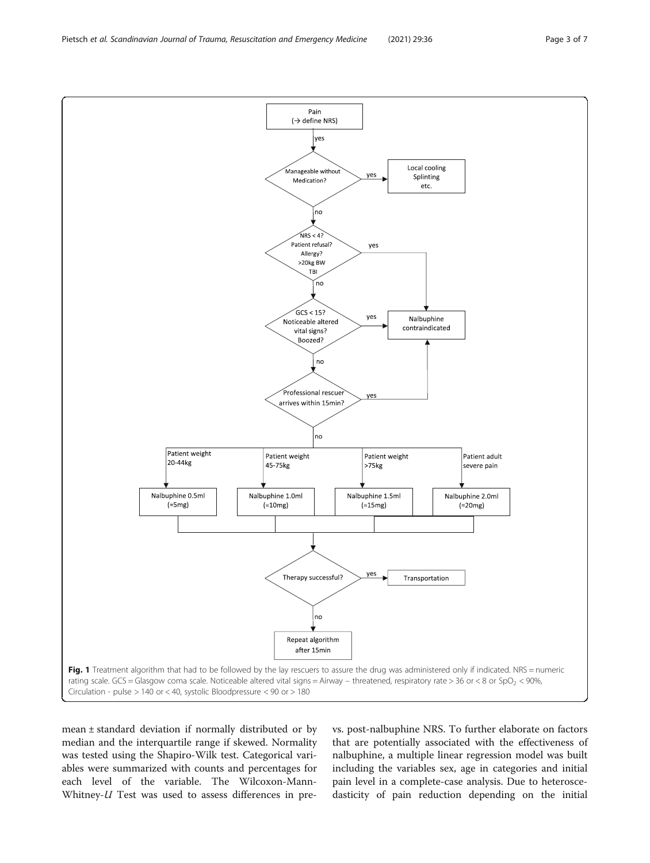mean  $\pm$  standard deviation if normally distributed or by median and the interquartile range if skewed. Normality was tested using the Shapiro-Wilk test. Categorical variables were summarized with counts and percentages for each level of the variable. The Wilcoxon-Mann-Whitney- $U$  Test was used to assess differences in prevs. post-nalbuphine NRS. To further elaborate on factors that are potentially associated with the effectiveness of nalbuphine, a multiple linear regression model was built including the variables sex, age in categories and initial pain level in a complete-case analysis. Due to heteroscedasticity of pain reduction depending on the initial

<span id="page-2-0"></span>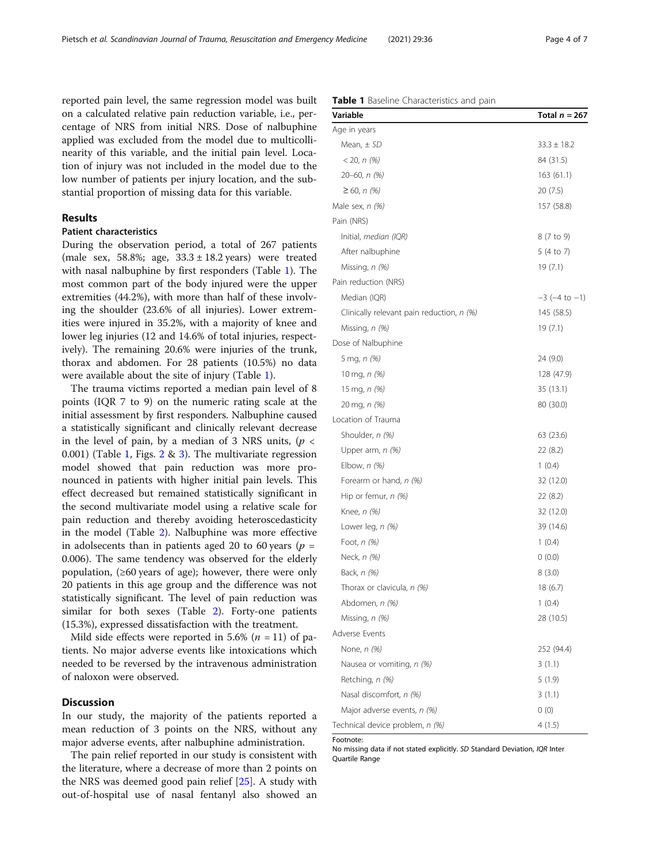reported pain level, the same regression model was built on a calculated relative pain reduction variable, i.e., percentage of NRS from initial NRS. Dose of nalbuphine applied was excluded from the model due to multicollinearity of this variable, and the initial pain level. Location of injury was not included in the model due to the low number of patients per injury location, and the substantial proportion of missing data for this variable.

## Results

## Patient characteristics

During the observation period, a total of 267 patients (male sex, 58.8%; age,  $33.3 \pm 18.2$  years) were treated with nasal nalbuphine by first responders (Table 1). The most common part of the body injured were the upper extremities (44.2%), with more than half of these involving the shoulder (23.6% of all injuries). Lower extremities were injured in 35.2%, with a majority of knee and lower leg injuries (12 and 14.6% of total injuries, respectively). The remaining 20.6% were injuries of the trunk, thorax and abdomen. For 28 patients (10.5%) no data were available about the site of injury (Table 1).

The trauma victims reported a median pain level of 8 points (IQR 7 to 9) on the numeric rating scale at the initial assessment by first responders. Nalbuphine caused a statistically significant and clinically relevant decrease in the level of pain, by a median of 3 NRS units, ( $p <$ 0.001) (Table 1, Figs. [2](#page-4-0) & [3](#page-4-0)). The multivariate regression model showed that pain reduction was more pronounced in patients with higher initial pain levels. This effect decreased but remained statistically significant in the second multivariate model using a relative scale for pain reduction and thereby avoiding heteroscedasticity in the model (Table [2\)](#page-5-0). Nalbuphine was more effective in adolsecents than in patients aged 20 to 60 years ( $p =$ 0.006). The same tendency was observed for the elderly population,  $(\geq 60 \text{ years of age})$ ; however, there were only 20 patients in this age group and the difference was not statistically significant. The level of pain reduction was similar for both sexes (Table [2\)](#page-5-0). Forty-one patients (15.3%), expressed dissatisfaction with the treatment.

Mild side effects were reported in 5.6% ( $n = 11$ ) of patients. No major adverse events like intoxications which needed to be reversed by the intravenous administration of naloxon were observed.

## Discussion

In our study, the majority of the patients reported a mean reduction of 3 points on the NRS, without any major adverse events, after nalbuphine administration.

The pain relief reported in our study is consistent with the literature, where a decrease of more than 2 points on the NRS was deemed good pain relief [[25\]](#page-6-0). A study with out-of-hospital use of nasal fentanyl also showed an

|  |  | Table 1 Baseline Characteristics and pain |  |  |
|--|--|-------------------------------------------|--|--|
|--|--|-------------------------------------------|--|--|

| Variable                                    | Total $n = 267$       |  |  |
|---------------------------------------------|-----------------------|--|--|
| Age in years                                |                       |  |  |
| Mean, $\pm$ SD                              | $33.3 \pm 18.2$       |  |  |
| $<$ 20, n (%)                               | 84 (31.5)             |  |  |
| $20-60, n$ (%)                              | 163(61.1)             |  |  |
| ≥ 60, n (%)                                 | 20 (7.5)              |  |  |
| Male sex, $n$ (%)                           | 157 (58.8)            |  |  |
| Pain (NRS)                                  |                       |  |  |
| Initial, <i>median</i> (IQR)                | 8 (7 to 9)            |  |  |
| After nalbuphine                            | 5 (4 to 7)            |  |  |
| Missing, n (%)                              | 19(7.1)               |  |  |
| Pain reduction (NRS)                        |                       |  |  |
| Median (IQR)                                | $-3$ ( $-4$ to $-1$ ) |  |  |
| Clinically relevant pain reduction, $n$ (%) | 145 (58.5)            |  |  |
| Missing, n (%)                              | 19 (7.1)              |  |  |
| Dose of Nalbuphine                          |                       |  |  |
| 5 mg, <i>n</i> (%)                          | 24 (9.0)              |  |  |
| 10 mg, $n$ (%)                              | 128 (47.9)            |  |  |
| 15 mg, <i>n (%)</i>                         | 35 (13.1)             |  |  |
| 20 mg, n (%)                                | 80 (30.0)             |  |  |
| Location of Trauma                          |                       |  |  |
| Shoulder, n (%)                             | 63 (23.6)             |  |  |
| Upper arm, n (%)                            | 22 (8.2)              |  |  |
| Elbow, $n$ $(\%)$                           | 1(0.4)                |  |  |
| Forearm or hand, n (%)                      | 32 (12.0)             |  |  |
| Hip or femur, $n$ (%)                       | 22 (8.2)              |  |  |
| Knee, <i>n (%)</i>                          | 32 (12.0)             |  |  |
| Lower leg, n (%)                            | 39 (14.6)             |  |  |
| Foot, n (%)                                 | 1(0.4)                |  |  |
| Neck, <i>n (%)</i>                          | 0(0.0)                |  |  |
| Back, n (%)                                 | 8(3.0)                |  |  |
| Thorax or clavicula, n (%)                  | 18 (6.7)              |  |  |
| Abdomen, n (%)                              | 1(0.4)                |  |  |
| Missing, n (%)                              | 28 (10.5)             |  |  |
| Adverse Events                              |                       |  |  |
| None, <i>n (%)</i>                          | 252 (94.4)            |  |  |
| Nausea or vomiting, n (%)                   | 3(1.1)                |  |  |
| Retching, n (%)                             | 5(1.9)                |  |  |
| Nasal discomfort, n (%)                     | 3(1.1)                |  |  |
| Major adverse events, n (%)                 | 0(0)                  |  |  |
| Technical device problem, n (%)             | 4(1.5)                |  |  |

Footnote:

No missing data if not stated explicitly. SD Standard Deviation, IQR Inter Quartile Range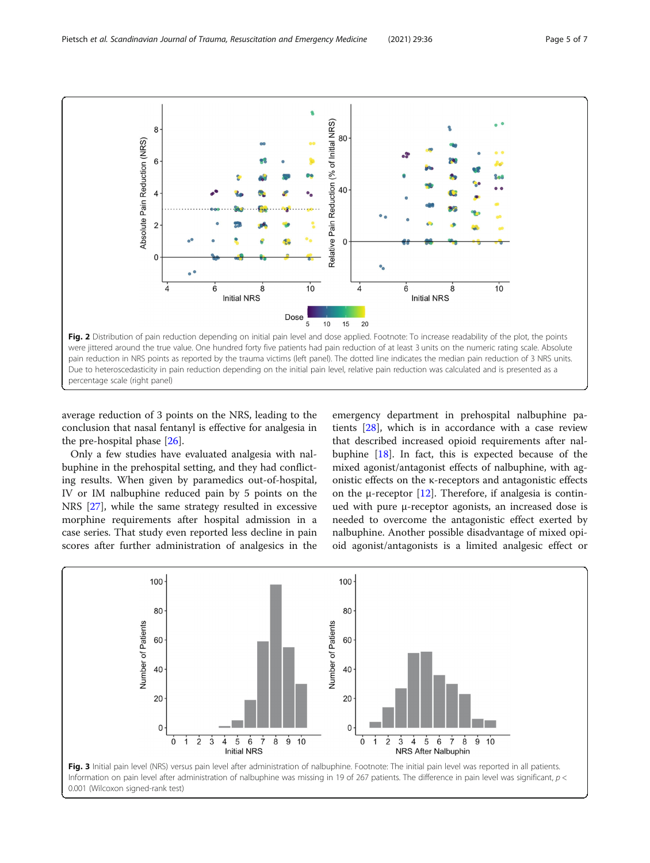<span id="page-4-0"></span>

average reduction of 3 points on the NRS, leading to the conclusion that nasal fentanyl is effective for analgesia in the pre-hospital phase [[26\]](#page-6-0).

Only a few studies have evaluated analgesia with nalbuphine in the prehospital setting, and they had conflicting results. When given by paramedics out-of-hospital, IV or IM nalbuphine reduced pain by 5 points on the NRS [\[27](#page-6-0)], while the same strategy resulted in excessive morphine requirements after hospital admission in a case series. That study even reported less decline in pain scores after further administration of analgesics in the emergency department in prehospital nalbuphine patients [\[28\]](#page-6-0), which is in accordance with a case review that described increased opioid requirements after nalbuphine [\[18](#page-6-0)]. In fact, this is expected because of the mixed agonist/antagonist effects of nalbuphine, with agonistic effects on the κ-receptors and antagonistic effects on the  $\mu$ -receptor [[12\]](#page-6-0). Therefore, if analgesia is continued with pure μ-receptor agonists, an increased dose is needed to overcome the antagonistic effect exerted by nalbuphine. Another possible disadvantage of mixed opioid agonist/antagonists is a limited analgesic effect or

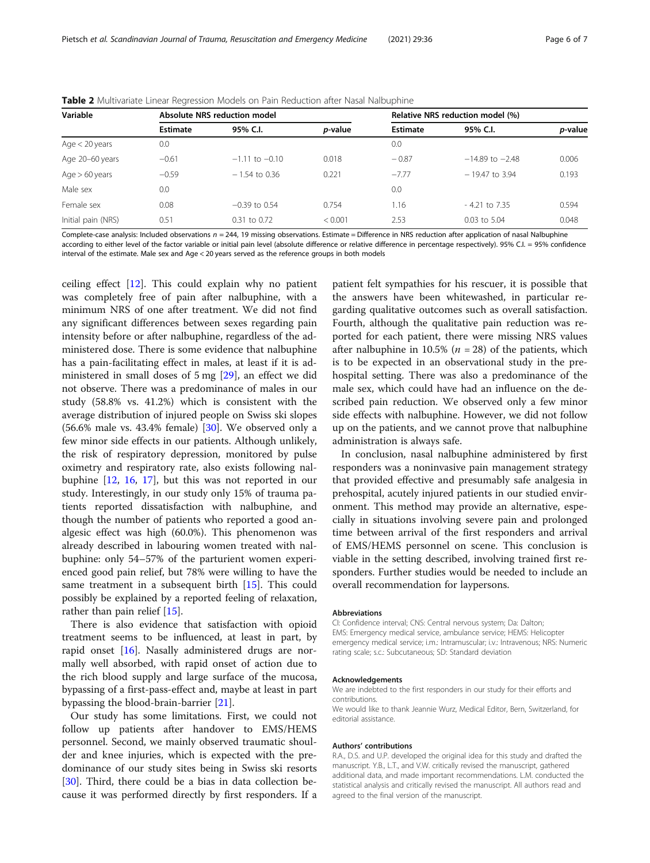| Variable           |                 | Absolute NRS reduction model |                 |                 | Relative NRS reduction model (%) |                 |  |
|--------------------|-----------------|------------------------------|-----------------|-----------------|----------------------------------|-----------------|--|
|                    | <b>Estimate</b> | 95% C.I.                     | <i>p</i> -value | <b>Estimate</b> | 95% C.I.                         | <i>p</i> -value |  |
| Age $<$ 20 years   | 0.0             |                              |                 | 0.0             |                                  |                 |  |
| Age 20-60 years    | $-0.61$         | $-1.11$ to $-0.10$           | 0.018           | $-0.87$         | $-14.89$ to $-2.48$              | 0.006           |  |
| Age $> 60$ years   | $-0.59$         | $-1.54$ to 0.36              | 0.221           | $-7.77$         | $-19.47$ to 3.94                 | 0.193           |  |
| Male sex           | 0.0             |                              |                 | 0.0             |                                  |                 |  |
| Female sex         | 0.08            | $-0.39$ to 0.54              | 0.754           | 1.16            | $-4.21$ to $7.35$                | 0.594           |  |
| Initial pain (NRS) | 0.51            | 0.31 to 0.72                 | < 0.001         | 2.53            | 0.03 to 5.04                     | 0.048           |  |

<span id="page-5-0"></span>**Table 2** Multivariate Linear Regression Models on Pain Reduction after Nasal Nalbuphine

Complete-case analysis: Included observations  $n = 244$ , 19 missing observations. Estimate = Difference in NRS reduction after application of nasal Nalbuphine according to either level of the factor variable or initial pain level (absolute difference or relative difference in percentage respectively). 95% C.I. = 95% confidence interval of the estimate. Male sex and Age < 20 years served as the reference groups in both models

ceiling effect [[12\]](#page-6-0). This could explain why no patient was completely free of pain after nalbuphine, with a minimum NRS of one after treatment. We did not find any significant differences between sexes regarding pain intensity before or after nalbuphine, regardless of the administered dose. There is some evidence that nalbuphine has a pain-facilitating effect in males, at least if it is administered in small doses of 5 mg [[29](#page-6-0)], an effect we did not observe. There was a predominance of males in our study (58.8% vs. 41.2%) which is consistent with the average distribution of injured people on Swiss ski slopes  $(56.6\%$  male vs. 43.4% female) [[30](#page-6-0)]. We observed only a few minor side effects in our patients. Although unlikely, the risk of respiratory depression, monitored by pulse oximetry and respiratory rate, also exists following nalbuphine [[12](#page-6-0), [16,](#page-6-0) [17](#page-6-0)], but this was not reported in our study. Interestingly, in our study only 15% of trauma patients reported dissatisfaction with nalbuphine, and though the number of patients who reported a good analgesic effect was high (60.0%). This phenomenon was already described in labouring women treated with nalbuphine: only 54–57% of the parturient women experienced good pain relief, but 78% were willing to have the same treatment in a subsequent birth [[15](#page-6-0)]. This could possibly be explained by a reported feeling of relaxation, rather than pain relief [[15](#page-6-0)].

There is also evidence that satisfaction with opioid treatment seems to be influenced, at least in part, by rapid onset [\[16](#page-6-0)]. Nasally administered drugs are normally well absorbed, with rapid onset of action due to the rich blood supply and large surface of the mucosa, bypassing of a first-pass-effect and, maybe at least in part bypassing the blood-brain-barrier [[21\]](#page-6-0).

Our study has some limitations. First, we could not follow up patients after handover to EMS/HEMS personnel. Second, we mainly observed traumatic shoulder and knee injuries, which is expected with the predominance of our study sites being in Swiss ski resorts [[30\]](#page-6-0). Third, there could be a bias in data collection because it was performed directly by first responders. If a

patient felt sympathies for his rescuer, it is possible that the answers have been whitewashed, in particular regarding qualitative outcomes such as overall satisfaction. Fourth, although the qualitative pain reduction was reported for each patient, there were missing NRS values after nalbuphine in 10.5% ( $n = 28$ ) of the patients, which is to be expected in an observational study in the prehospital setting. There was also a predominance of the male sex, which could have had an influence on the described pain reduction. We observed only a few minor side effects with nalbuphine. However, we did not follow up on the patients, and we cannot prove that nalbuphine administration is always safe.

In conclusion, nasal nalbuphine administered by first responders was a noninvasive pain management strategy that provided effective and presumably safe analgesia in prehospital, acutely injured patients in our studied environment. This method may provide an alternative, especially in situations involving severe pain and prolonged time between arrival of the first responders and arrival of EMS/HEMS personnel on scene. This conclusion is viable in the setting described, involving trained first responders. Further studies would be needed to include an overall recommendation for laypersons.

#### Abbreviations

CI: Confidence interval; CNS: Central nervous system; Da: Dalton; EMS: Emergency medical service, ambulance service; HEMS: Helicopter emergency medical service; i.m.: Intramuscular; i.v.: Intravenous; NRS: Numeric rating scale; s.c.: Subcutaneous; SD: Standard deviation

#### Acknowledgements

We are indebted to the first responders in our study for their efforts and contributions.

We would like to thank Jeannie Wurz, Medical Editor, Bern, Switzerland, for editorial assistance.

#### Authors' contributions

R.A., D.S. and U.P. developed the original idea for this study and drafted the manuscript. Y.B., L.T., and V.W. critically revised the manuscript, gathered additional data, and made important recommendations. L.M. conducted the statistical analysis and critically revised the manuscript. All authors read and agreed to the final version of the manuscript.